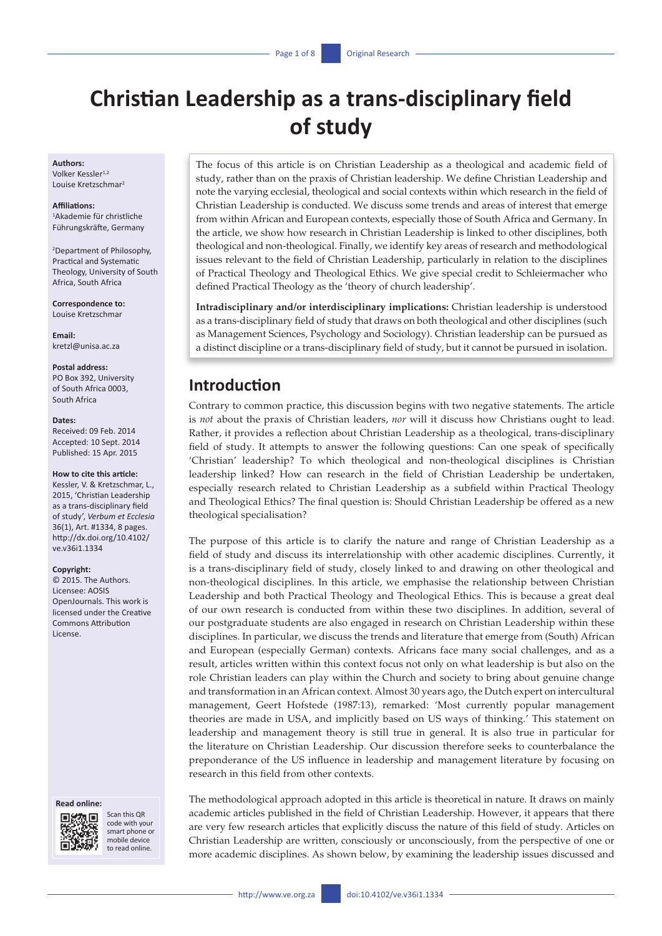# **Christian Leadership as a trans-disciplinary field of study**

#### **Authors:**

Volker Kessler<sup>1,2</sup> Louise Kretzschmar2

### **Affiliations:**

1 Akademie für christliche Führungskräfte, Germany

2 Department of Philosophy, Practical and Systematic Theology, University of South Africa, South Africa

**Correspondence to:** Louise Kretzschmar

**Email:** [kretzl@unisa.ac.za](mailto:kretzl@unisa.ac.za)

#### **Postal address:**

PO Box 392, University of South Africa 0003, South Africa

#### **Dates:**

Received: 09 Feb. 2014 Accepted: 10 Sept. 2014 Published: 15 Apr. 2015

#### **How to cite this article:**

Kessler, V. & Kretzschmar, L. 2015, 'Christian Leadership as a trans-disciplinary field of study', *Verbum et Ecclesia* 36(1), Art. #1334, 8 pages. [http://dx.doi.org/10.4102/](http://dx.doi.org/10.4102/ve.v36i1.1334) [ve.v36i1.1334](http://dx.doi.org/10.4102/ve.v36i1.1334)

#### **Copyright:**

© 2015. The Authors. Licensee: AOSIS OpenJournals. This work is licensed under the Creative Commons Attribution License.

### **Read online:**



Scan this QR code with your smart phone or mobile device to read online.

The focus of this article is on Christian Leadership as a theological and academic field of study, rather than on the praxis of Christian leadership. We define Christian Leadership and note the varying ecclesial, theological and social contexts within which research in the field of Christian Leadership is conducted. We discuss some trends and areas of interest that emerge from within African and European contexts, especially those of South Africa and Germany. In the article, we show how research in Christian Leadership is linked to other disciplines, both theological and non-theological. Finally, we identify key areas of research and methodological issues relevant to the field of Christian Leadership, particularly in relation to the disciplines of Practical Theology and Theological Ethics. We give special credit to Schleiermacher who defined Practical Theology as the 'theory of church leadership'.

**Intradisciplinary and/or interdisciplinary implications:** Christian leadership is understood as a trans-disciplinary field of study that draws on both theological and other disciplines (such as Management Sciences, Psychology and Sociology). Christian leadership can be pursued as a distinct discipline or a trans-disciplinary field of study, but it cannot be pursued in isolation.

# **Introduction**

Contrary to common practice, this discussion begins with two negative statements. The article is *not* about the praxis of Christian leaders, *nor* will it discuss how Christians ought to lead. Rather, it provides a reflection about Christian Leadership as a theological, trans-disciplinary field of study. It attempts to answer the following questions: Can one speak of specifically 'Christian' leadership? To which theological and non-theological disciplines is Christian leadership linked? How can research in the field of Christian Leadership be undertaken, especially research related to Christian Leadership as a subfield within Practical Theology and Theological Ethics? The final question is: Should Christian Leadership be offered as a new theological specialisation?

The purpose of this article is to clarify the nature and range of Christian Leadership as a field of study and discuss its interrelationship with other academic disciplines. Currently, it is a trans-disciplinary field of study, closely linked to and drawing on other theological and non-theological disciplines. In this article, we emphasise the relationship between Christian Leadership and both Practical Theology and Theological Ethics. This is because a great deal of our own research is conducted from within these two disciplines. In addition, several of our postgraduate students are also engaged in research on Christian Leadership within these disciplines. In particular, we discuss the trends and literature that emerge from (South) African and European (especially German) contexts. Africans face many social challenges, and as a result, articles written within this context focus not only on what leadership is but also on the role Christian leaders can play within the Church and society to bring about genuine change and transformation in an African context. Almost 30 years ago, the Dutch expert on intercultural management, Geert Hofstede (1987:13), remarked: 'Most currently popular management theories are made in USA, and implicitly based on US ways of thinking.' This statement on leadership and management theory is still true in general. It is also true in particular for the literature on Christian Leadership. Our discussion therefore seeks to counterbalance the preponderance of the US influence in leadership and management literature by focusing on research in this field from other contexts.

The methodological approach adopted in this article is theoretical in nature. It draws on mainly academic articles published in the field of Christian Leadership. However, it appears that there are very few research articles that explicitly discuss the nature of this field of study. Articles on Christian Leadership are written, consciously or unconsciously, from the perspective of one or more academic disciplines. As shown below, by examining the leadership issues discussed and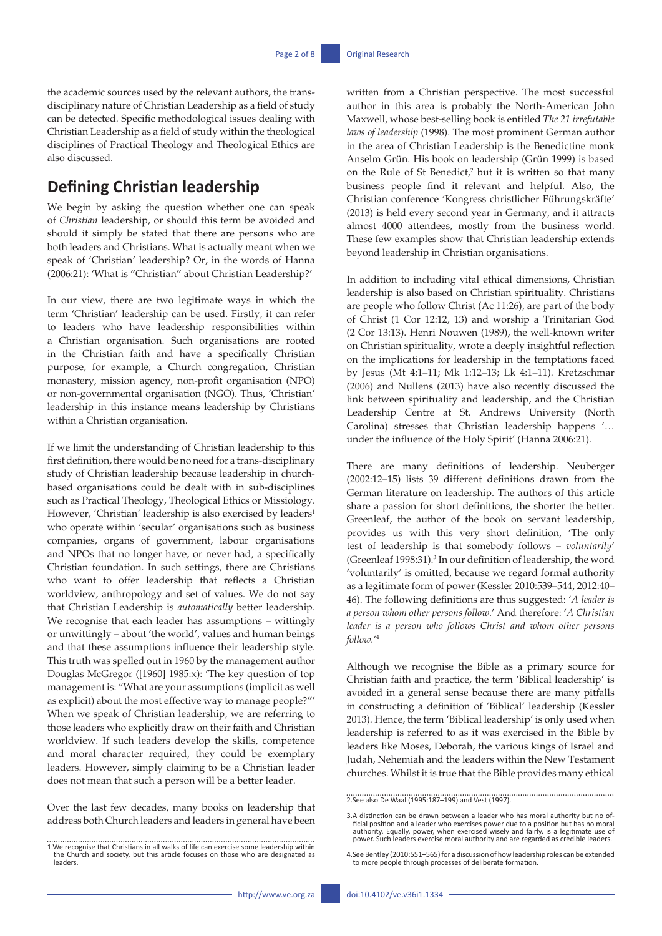the academic sources used by the relevant authors, the transdisciplinary nature of Christian Leadership as a field of study can be detected. Specific methodological issues dealing with Christian Leadership as a field of study within the theological disciplines of Practical Theology and Theological Ethics are also discussed.

# **Defining Christian leadership**

We begin by asking the question whether one can speak of *Christian* leadership, or should this term be avoided and should it simply be stated that there are persons who are both leaders and Christians. What is actually meant when we speak of 'Christian' leadership? Or, in the words of Hanna (2006:21): 'What is "Christian" about Christian Leadership?'

In our view, there are two legitimate ways in which the term 'Christian' leadership can be used. Firstly, it can refer to leaders who have leadership responsibilities within a Christian organisation. Such organisations are rooted in the Christian faith and have a specifically Christian purpose, for example, a Church congregation, Christian monastery, mission agency, non-profit organisation (NPO) or non-governmental organisation (NGO). Thus, 'Christian' leadership in this instance means leadership by Christians within a Christian organisation.

If we limit the understanding of Christian leadership to this first definition, there would be no need for a trans-disciplinary study of Christian leadership because leadership in churchbased organisations could be dealt with in sub-disciplines such as Practical Theology, Theological Ethics or Missiology. However, 'Christian' leadership is also exercised by leaders<sup>1</sup> who operate within 'secular' organisations such as business companies, organs of government, labour organisations and NPOs that no longer have, or never had, a specifically Christian foundation. In such settings, there are Christians who want to offer leadership that reflects a Christian worldview, anthropology and set of values. We do not say that Christian Leadership is *automatically* better leadership. We recognise that each leader has assumptions – wittingly or unwittingly – about 'the world', values and human beings and that these assumptions influence their leadership style. This truth was spelled out in 1960 by the management author Douglas McGregor ([1960] 1985:x): 'The key question of top management is: "What are your assumptions (implicit as well as explicit) about the most effective way to manage people?"' When we speak of Christian leadership, we are referring to those leaders who explicitly draw on their faith and Christian worldview. If such leaders develop the skills, competence and moral character required, they could be exemplary leaders. However, simply claiming to be a Christian leader does not mean that such a person will be a better leader.

Over the last few decades, many books on leadership that address both Church leaders and leaders in general have been

written from a Christian perspective. The most successful author in this area is probably the North-American John Maxwell, whose best-selling book is entitled *The 21 irrefutable laws of leadership* (1998). The most prominent German author in the area of Christian Leadership is the Benedictine monk Anselm Grün. His book on leadership (Grün 1999) is based on the Rule of St Benedict, $2$  but it is written so that many business people find it relevant and helpful. Also, the Christian conference 'Kongress christlicher Führungskräfte' (2013) is held every second year in Germany, and it attracts almost 4000 attendees, mostly from the business world. These few examples show that Christian leadership extends beyond leadership in Christian organisations.

In addition to including vital ethical dimensions, Christian leadership is also based on Christian spirituality. Christians are people who follow Christ (Ac 11:26), are part of the body of Christ (1 Cor 12:12, 13) and worship a Trinitarian God (2 Cor 13:13). Henri Nouwen (1989), the well-known writer on Christian spirituality, wrote a deeply insightful reflection on the implications for leadership in the temptations faced by Jesus (Mt 4:1–11; Mk 1:12–13; Lk 4:1–11). Kretzschmar (2006) and Nullens (2013) have also recently discussed the link between spirituality and leadership, and the Christian Leadership Centre at St. Andrews University (North Carolina) stresses that Christian leadership happens '… under the influence of the Holy Spirit' (Hanna 2006:21).

There are many definitions of leadership. Neuberger (2002:12–15) lists 39 different definitions drawn from the German literature on leadership. The authors of this article share a passion for short definitions, the shorter the better. Greenleaf, the author of the book on servant leadership, provides us with this very short definition, 'The only test of leadership is that somebody follows – *voluntarily*' (Greenleaf 1998:31).3 In our definition of leadership, the word 'voluntarily' is omitted, because we regard formal authority as a legitimate form of power (Kessler 2010:539–544, 2012:40– 46). The following definitions are thus suggested: '*A leader is a person whom other persons follow*.' And therefore: '*A Christian leader is a person who follows Christ and whom other persons follow.*' 4

Although we recognise the Bible as a primary source for Christian faith and practice, the term 'Biblical leadership' is avoided in a general sense because there are many pitfalls in constructing a definition of 'Biblical' leadership (Kessler 2013). Hence, the term 'Biblical leadership' is only used when leadership is referred to as it was exercised in the Bible by leaders like Moses, Deborah, the various kings of Israel and Judah, Nehemiah and the leaders within the New Testament churches. Whilst it is true that the Bible provides many ethical

2.See also De Waal (1995:187–199) and Vest (1997).

3.A distinction can be drawn between a leader who has moral authority but no of- ficial position and a leader who exercises power due to a position but has no moral authority. Equally, power, when exercised wisely and fairly, is a legitimate use of power. Such leaders exercise moral authority and are regarded as credible leaders.

4.See Bentley (2010:551–565) for a discussion of how leadership roles can be extended to more people through processes of deliberate formation.

<sup>1.</sup>We recognise that Christians in all walks of life can exercise some leadership within the Church and society, but this article focuses on those who are designated as leaders.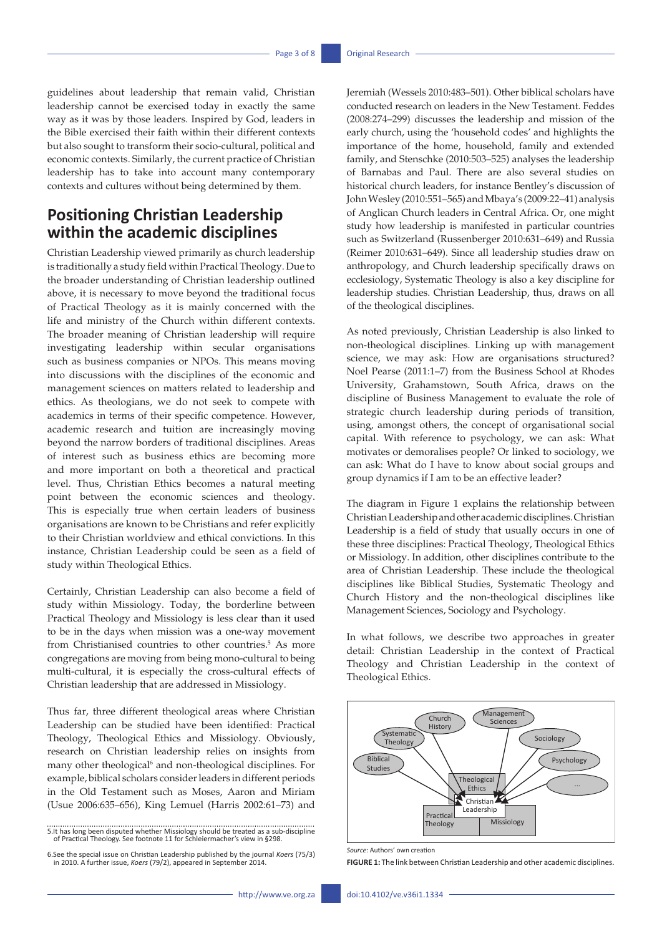guidelines about leadership that remain valid, Christian leadership cannot be exercised today in exactly the same way as it was by those leaders. Inspired by God, leaders in the Bible exercised their faith within their different contexts but also sought to transform their socio-cultural, political and economic contexts. Similarly, the current practice of Christian leadership has to take into account many contemporary contexts and cultures without being determined by them.

# **Positioning Christian Leadership within the academic disciplines**

Christian Leadership viewed primarily as church leadership is traditionally a study field within Practical Theology. Due to the broader understanding of Christian leadership outlined above, it is necessary to move beyond the traditional focus of Practical Theology as it is mainly concerned with the life and ministry of the Church within different contexts. The broader meaning of Christian leadership will require investigating leadership within secular organisations such as business companies or NPOs. This means moving into discussions with the disciplines of the economic and management sciences on matters related to leadership and ethics. As theologians, we do not seek to compete with academics in terms of their specific competence. However, academic research and tuition are increasingly moving beyond the narrow borders of traditional disciplines. Areas of interest such as business ethics are becoming more and more important on both a theoretical and practical level. Thus, Christian Ethics becomes a natural meeting point between the economic sciences and theology. This is especially true when certain leaders of business organisations are known to be Christians and refer explicitly to their Christian worldview and ethical convictions. In this instance, Christian Leadership could be seen as a field of study within Theological Ethics.

Certainly, Christian Leadership can also become a field of study within Missiology. Today, the borderline between Practical Theology and Missiology is less clear than it used to be in the days when mission was a one-way movement from Christianised countries to other countries.<sup>5</sup> As more congregations are moving from being mono-cultural to being multi-cultural, it is especially the cross-cultural effects of Christian leadership that are addressed in Missiology.

Thus far, three different theological areas where Christian Leadership can be studied have been identified: Practical Theology, Theological Ethics and Missiology. Obviously, research on Christian leadership relies on insights from many other theological<sup>6</sup> and non-theological disciplines. For example, biblical scholars consider leaders in different periods in the Old Testament such as Moses, Aaron and Miriam (Usue 2006:635–656), King Lemuel (Harris 2002:61–73) and

Jeremiah (Wessels 2010:483–501). Other biblical scholars have conducted research on leaders in the New Testament. Feddes (2008:274–299) discusses the leadership and mission of the early church, using the 'household codes' and highlights the importance of the home, household, family and extended family, and Stenschke (2010:503–525) analyses the leadership of Barnabas and Paul. There are also several studies on historical church leaders, for instance Bentley's discussion of John Wesley (2010:551–565) and Mbaya's (2009:22–41) analysis of Anglican Church leaders in Central Africa. Or, one might study how leadership is manifested in particular countries such as Switzerland (Russenberger 2010:631–649) and Russia (Reimer 2010:631–649). Since all leadership studies draw on anthropology, and Church leadership specifically draws on ecclesiology, Systematic Theology is also a key discipline for leadership studies. Christian Leadership, thus, draws on all of the theological disciplines.

As noted previously, Christian Leadership is also linked to non-theological disciplines. Linking up with management science, we may ask: How are organisations structured? Noel Pearse (2011:1–7) from the Business School at Rhodes University, Grahamstown, South Africa, draws on the discipline of Business Management to evaluate the role of strategic church leadership during periods of transition, using, amongst others, the concept of organisational social capital. With reference to psychology, we can ask: What motivates or demoralises people? Or linked to sociology, we can ask: What do I have to know about social groups and group dynamics if I am to be an effective leader?

The diagram in Figure 1 explains the relationship between Christian Leadership and other academic disciplines. Christian Leadership is a field of study that usually occurs in one of these three disciplines: Practical Theology, Theological Ethics or Missiology. In addition, other disciplines contribute to the area of Christian Leadership. These include the theological disciplines like Biblical Studies, Systematic Theology and Church History and the non-theological disciplines like Management Sciences, Sociology and Psychology.

In what follows, we describe two approaches in greater detail: Christian Leadership in the context of Practical Theology and Christian Leadership in the context of Theological Ethics.



*Source*: Authors' own creation

**FIGURE 1:** The link between Christian Leadership and other academic disciplines.

<sup>5.</sup>It has long been disputed whether Missiology should be treated as a sub-discipline of Practical Theology. See footnote 11 for Schleiermacher's view in §298.

<sup>6.</sup>See the special issue on Christian Leadership published by the journal *Koers* (75/3) in 2010. A further issue, *Koers* (79/2), appeared in September 2014.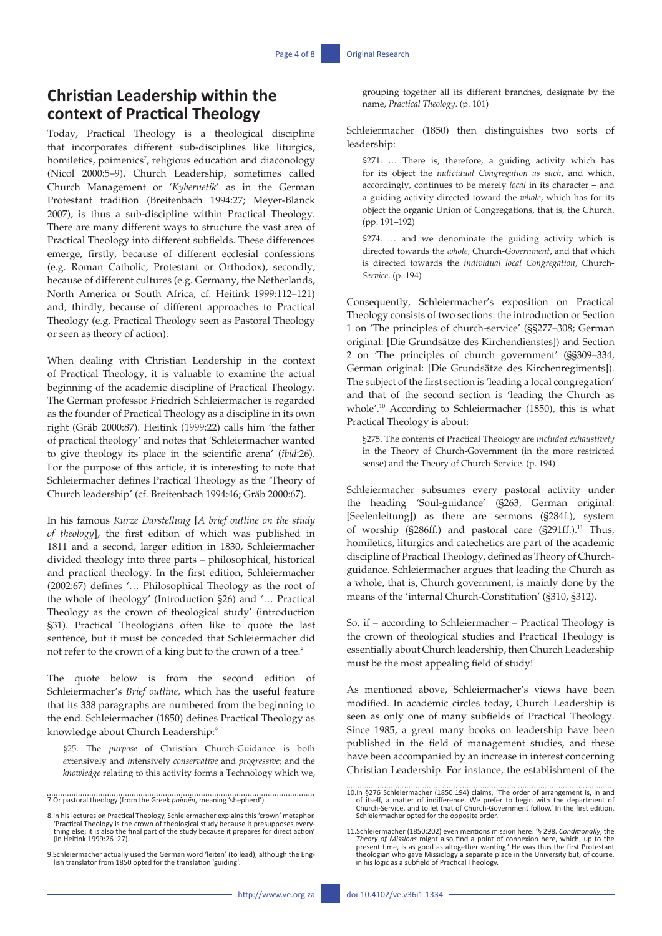# **Christian Leadership within the context of Practical Theology**

Today, Practical Theology is a theological discipline that incorporates different sub-disciplines like liturgics, homiletics, poimenics<sup>7</sup>, religious education and diaconology (Nicol 2000:5–9). Church Leadership, sometimes called Church Management or '*Kybernetik*' as in the German Protestant tradition (Breitenbach 1994:27; Meyer-Blanck 2007), is thus a sub-discipline within Practical Theology. There are many different ways to structure the vast area of Practical Theology into different subfields. These differences emerge, firstly, because of different ecclesial confessions (e.g. Roman Catholic, Protestant or Orthodox), secondly, because of different cultures (e.g. Germany, the Netherlands, North America or South Africa; cf. Heitink 1999:112–121) and, thirdly, because of different approaches to Practical Theology (e.g. Practical Theology seen as Pastoral Theology or seen as theory of action).

When dealing with Christian Leadership in the context of Practical Theology, it is valuable to examine the actual beginning of the academic discipline of Practical Theology. The German professor Friedrich Schleiermacher is regarded as the founder of Practical Theology as a discipline in its own right (Gräb 2000:87). Heitink (1999:22) calls him 'the father of practical theology' and notes that 'Schleiermacher wanted to give theology its place in the scientific arena' (*ibid*:26). For the purpose of this article, it is interesting to note that Schleiermacher defines Practical Theology as the 'Theory of Church leadership' (cf. Breitenbach 1994:46; Gräb 2000:67).

In his famous *Kurze Darstellung* [*A brief outline on the study of theology*], the first edition of which was published in 1811 and a second, larger edition in 1830, Schleiermacher divided theology into three parts – philosophical, historical and practical theology. In the first edition, Schleiermacher (2002:67) defines '… Philosophical Theology as the root of the whole of theology' (Introduction §26) and '… Practical Theology as the crown of theological study' (introduction §31). Practical Theologians often like to quote the last sentence, but it must be conceded that Schleiermacher did not refer to the crown of a king but to the crown of a tree.<sup>8</sup>

The quote below is from the second edition of Schleiermacher's *Brief outline,* which has the useful feature that its 338 paragraphs are numbered from the beginning to the end. Schleiermacher (1850) defines Practical Theology as knowledge about Church Leadership:<sup>9</sup>

§25. The *purpose* of Christian Church-Guidance is both *ex*tensively and *in*tensively *conservative* and *progressive*; and the *knowledge* relating to this activity forms a Technology which we,

7.Or pastoral theology (from the Greek *poimēn*, meaning 'shepherd'). 

8.In his lectures on Practical Theology, Schleiermacher explains this 'crown' metaphor. 'Practical Theology is the crown of theological study because it presupposes everything else; it is also the final part of the study because it prepares for direct action' (in Heitink 1999:26–27).

9.Schleiermacher actually used the German word 'leiten' (to lead), although the English translator from 1850 opted for the translation 'guiding'.

grouping together all its different branches, designate by the name, *Practical Theology.* (p. 101)

Schleiermacher (1850) then distinguishes two sorts of leadership:

§271. … There is, therefore, a guiding activity which has for its object the *individual Congregation as such*, and which, accordingly, continues to be merely *local* in its character – and a guiding activity directed toward the *whole*, which has for its object the organic Union of Congregations, that is, the Church. (pp. 191–192)

§274. … and we denominate the guiding activity which is directed towards the *whole*, Church-*Government*, and that which is directed towards the *individual local Congregation*, Church-*Service*. (p. 194)

Consequently, Schleiermacher's exposition on Practical Theology consists of two sections: the introduction or Section 1 on 'The principles of church-service' (§§277–308; German original: [Die Grundsätze des Kirchendienstes]) and Section 2 on 'The principles of church government' (§§309–334, German original: [Die Grundsätze des Kirchenregiments]). The subject of the first section is 'leading a local congregation' and that of the second section is 'leading the Church as whole'.10 According to Schleiermacher (1850), this is what Practical Theology is about:

§275. The contents of Practical Theology are *included exhaustively* in the Theory of Church-Government (in the more restricted sense) and the Theory of Church-Service. (p. 194)

Schleiermacher subsumes every pastoral activity under the heading 'Soul-guidance' (§263, German original: [Seelenleitung]) as there are sermons (§284f.), system of worship (§286ff.) and pastoral care (§291ff.).<sup>11</sup> Thus, homiletics, liturgics and catechetics are part of the academic discipline of Practical Theology, defined as Theory of Churchguidance. Schleiermacher argues that leading the Church as a whole, that is, Church government, is mainly done by the means of the 'internal Church-Constitution' (§310, §312).

So, if – according to Schleiermacher – Practical Theology is the crown of theological studies and Practical Theology is essentially about Church leadership, then Church Leadership must be the most appealing field of study!

As mentioned above, Schleiermacher's views have been modified. In academic circles today, Church Leadership is seen as only one of many subfields of Practical Theology. Since 1985, a great many books on leadership have been published in the field of management studies, and these have been accompanied by an increase in interest concerning Christian Leadership. For instance, the establishment of the

<sup>10.</sup>In §276 Schleiermacher (1850:194) claims, 'The order of arrangement is, in and<br>of itself, a matter of indifference. We prefer to begin with the department of<br>Church-Service, and to let that of Church-Government follow.' Schleiermacher opted for the opposite order.

<sup>11.</sup>Schleiermacher (1850:202) even mentions mission here: '§ 298. Conditionally, the<br>Theory of Missions might also find a point of connexion here, which, up to the<br>present time, is as good as altogether wanting.' He was thu theologian who gave Missiology a separate place in the University but, of course, in his logic as a subfield of Practical Theology.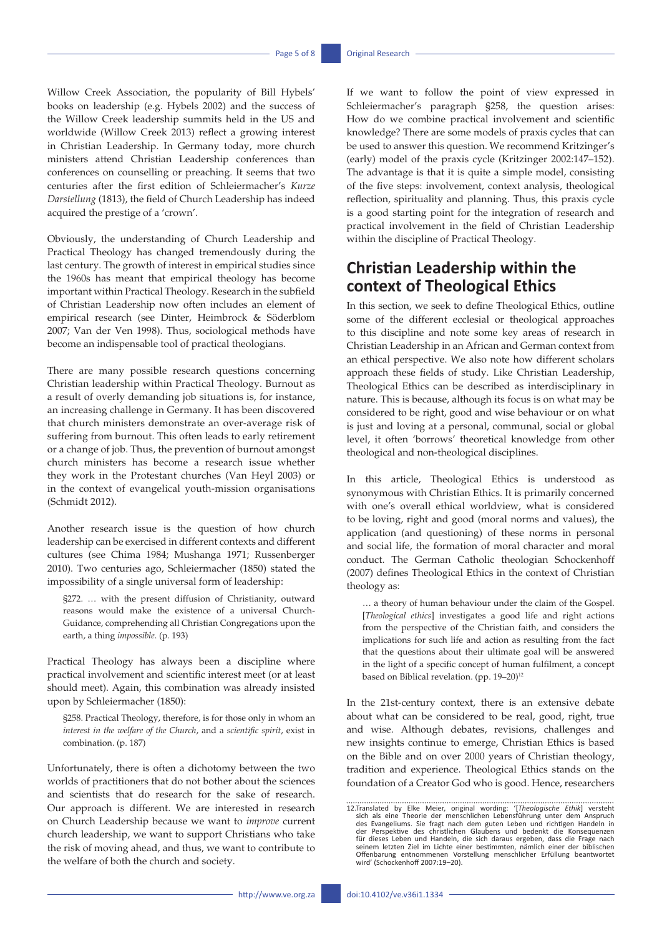Willow Creek Association, the popularity of Bill Hybels' books on leadership (e.g. Hybels 2002) and the success of the Willow Creek leadership summits held in the US and worldwide (Willow Creek 2013) reflect a growing interest in Christian Leadership. In Germany today, more church ministers attend Christian Leadership conferences than conferences on counselling or preaching. It seems that two centuries after the first edition of Schleiermacher's *Kurze Darstellung* (1813), the field of Church Leadership has indeed acquired the prestige of a 'crown'.

Obviously, the understanding of Church Leadership and Practical Theology has changed tremendously during the last century. The growth of interest in empirical studies since the 1960s has meant that empirical theology has become important within Practical Theology. Research in the subfield of Christian Leadership now often includes an element of empirical research (see Dinter, Heimbrock & Söderblom 2007; Van der Ven 1998). Thus, sociological methods have become an indispensable tool of practical theologians.

There are many possible research questions concerning Christian leadership within Practical Theology. Burnout as a result of overly demanding job situations is, for instance, an increasing challenge in Germany. It has been discovered that church ministers demonstrate an over-average risk of suffering from burnout. This often leads to early retirement or a change of job. Thus, the prevention of burnout amongst church ministers has become a research issue whether they work in the Protestant churches (Van Heyl 2003) or in the context of evangelical youth-mission organisations (Schmidt 2012).

Another research issue is the question of how church leadership can be exercised in different contexts and different cultures (see Chima 1984; Mushanga 1971; Russenberger 2010). Two centuries ago, Schleiermacher (1850) stated the impossibility of a single universal form of leadership:

§272. … with the present diffusion of Christianity, outward reasons would make the existence of a universal Church-Guidance, comprehending all Christian Congregations upon the earth, a thing *impossible*. (p. 193)

Practical Theology has always been a discipline where practical involvement and scientific interest meet (or at least should meet). Again, this combination was already insisted upon by Schleiermacher (1850):

§258. Practical Theology, therefore, is for those only in whom an *interest in the welfare of the Church*, and a *scientific spirit*, exist in combination. (p. 187)

Unfortunately, there is often a dichotomy between the two worlds of practitioners that do not bother about the sciences and scientists that do research for the sake of research. Our approach is different. We are interested in research on Church Leadership because we want to *improve* current church leadership, we want to support Christians who take the risk of moving ahead, and thus, we want to contribute to the welfare of both the church and society.

If we want to follow the point of view expressed in Schleiermacher's paragraph §258, the question arises: How do we combine practical involvement and scientific knowledge? There are some models of praxis cycles that can be used to answer this question. We recommend Kritzinger's (early) model of the praxis cycle (Kritzinger 2002:147–152). The advantage is that it is quite a simple model, consisting of the five steps: involvement, context analysis, theological reflection, spirituality and planning. Thus, this praxis cycle is a good starting point for the integration of research and practical involvement in the field of Christian Leadership within the discipline of Practical Theology.

# **Christian Leadership within the context of Theological Ethics**

In this section, we seek to define Theological Ethics, outline some of the different ecclesial or theological approaches to this discipline and note some key areas of research in Christian Leadership in an African and German context from an ethical perspective. We also note how different scholars approach these fields of study. Like Christian Leadership, Theological Ethics can be described as interdisciplinary in nature. This is because, although its focus is on what may be considered to be right, good and wise behaviour or on what is just and loving at a personal, communal, social or global level, it often 'borrows' theoretical knowledge from other theological and non-theological disciplines.

In this article, Theological Ethics is understood as synonymous with Christian Ethics. It is primarily concerned with one's overall ethical worldview, what is considered to be loving, right and good (moral norms and values), the application (and questioning) of these norms in personal and social life, the formation of moral character and moral conduct. The German Catholic theologian Schockenhoff (2007) defines Theological Ethics in the context of Christian theology as:

… a theory of human behaviour under the claim of the Gospel. [*Theological ethics*] investigates a good life and right actions from the perspective of the Christian faith, and considers the implications for such life and action as resulting from the fact that the questions about their ultimate goal will be answered in the light of a specific concept of human fulfilment, a concept based on Biblical revelation. (pp. 19–20)<sup>12</sup>

In the 21st-century context, there is an extensive debate about what can be considered to be real, good, right, true and wise. Although debates, revisions, challenges and new insights continue to emerge, Christian Ethics is based on the Bible and on over 2000 years of Christian theology, tradition and experience. Theological Ethics stands on the foundation of a Creator God who is good. Hence, researchers

<sup>12.</sup>Translated by Elke Meier, original wording: '[Theologische Ethik] versteht<br>sich als eine Theorie der menschlichen Lebensführung unter dem Anspruch<br>des Evangeliums. Sie fragt nach dem guten Leben und richtigen Handeln in der Perspektive des christlichen Glaubens und bedenkt die Konsequenzen<br>für dieses Leben und Handeln, die sich daraus ergeben, dass die Frage nach<br>seinem letzten Ziel im Lichte einer bestimmten, nämlich einer der biblischen Offenbarung entnommenen Vorstellung menschlicher Erfüllung beantwortet wird' (Schockenhoff 2007:19–20).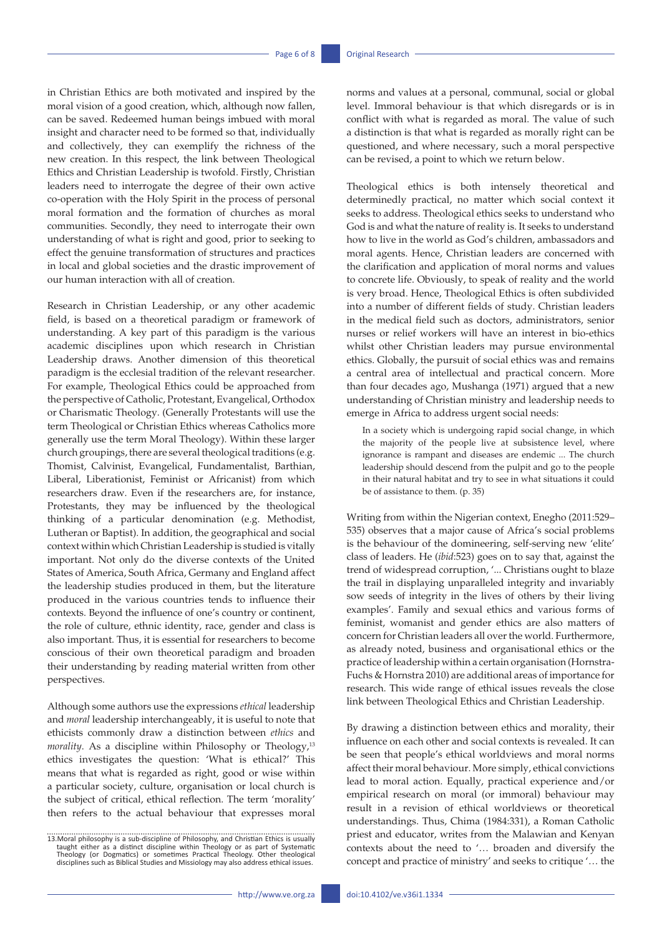in Christian Ethics are both motivated and inspired by the moral vision of a good creation, which, although now fallen, can be saved. Redeemed human beings imbued with moral insight and character need to be formed so that, individually and collectively, they can exemplify the richness of the new creation. In this respect, the link between Theological Ethics and Christian Leadership is twofold. Firstly, Christian leaders need to interrogate the degree of their own active co-operation with the Holy Spirit in the process of personal moral formation and the formation of churches as moral communities. Secondly, they need to interrogate their own understanding of what is right and good, prior to seeking to effect the genuine transformation of structures and practices in local and global societies and the drastic improvement of our human interaction with all of creation.

Research in Christian Leadership, or any other academic field, is based on a theoretical paradigm or framework of understanding. A key part of this paradigm is the various academic disciplines upon which research in Christian Leadership draws. Another dimension of this theoretical paradigm is the ecclesial tradition of the relevant researcher. For example, Theological Ethics could be approached from the perspective of Catholic, Protestant, Evangelical, Orthodox or Charismatic Theology. (Generally Protestants will use the term Theological or Christian Ethics whereas Catholics more generally use the term Moral Theology). Within these larger church groupings, there are several theological traditions (e.g. Thomist, Calvinist, Evangelical, Fundamentalist, Barthian, Liberal, Liberationist, Feminist or Africanist) from which researchers draw. Even if the researchers are, for instance, Protestants, they may be influenced by the theological thinking of a particular denomination (e.g. Methodist, Lutheran or Baptist). In addition, the geographical and social context within which Christian Leadership is studied is vitally important. Not only do the diverse contexts of the United States of America, South Africa, Germany and England affect the leadership studies produced in them, but the literature produced in the various countries tends to influence their contexts. Beyond the influence of one's country or continent, the role of culture, ethnic identity, race, gender and class is also important. Thus, it is essential for researchers to become conscious of their own theoretical paradigm and broaden their understanding by reading material written from other perspectives.

Although some authors use the expressions *ethical* leadership and *moral* leadership interchangeably, it is useful to note that ethicists commonly draw a distinction between *ethics* and *morality*. As a discipline within Philosophy or Theology,<sup>13</sup> ethics investigates the question: 'What is ethical?' This means that what is regarded as right, good or wise within a particular society, culture, organisation or local church is the subject of critical, ethical reflection. The term 'morality' then refers to the actual behaviour that expresses moral

norms and values at a personal, communal, social or global level. Immoral behaviour is that which disregards or is in conflict with what is regarded as moral. The value of such a distinction is that what is regarded as morally right can be questioned, and where necessary, such a moral perspective can be revised, a point to which we return below.

Theological ethics is both intensely theoretical and determinedly practical, no matter which social context it seeks to address. Theological ethics seeks to understand who God is and what the nature of reality is. It seeks to understand how to live in the world as God's children, ambassadors and moral agents. Hence, Christian leaders are concerned with the clarification and application of moral norms and values to concrete life. Obviously, to speak of reality and the world is very broad. Hence, Theological Ethics is often subdivided into a number of different fields of study. Christian leaders in the medical field such as doctors, administrators, senior nurses or relief workers will have an interest in bio-ethics whilst other Christian leaders may pursue environmental ethics. Globally, the pursuit of social ethics was and remains a central area of intellectual and practical concern. More than four decades ago, Mushanga (1971) argued that a new understanding of Christian ministry and leadership needs to emerge in Africa to address urgent social needs:

In a society which is undergoing rapid social change, in which the majority of the people live at subsistence level, where ignorance is rampant and diseases are endemic ... The church leadership should descend from the pulpit and go to the people in their natural habitat and try to see in what situations it could be of assistance to them. (p. 35)

Writing from within the Nigerian context, Enegho (2011:529– 535) observes that a major cause of Africa's social problems is the behaviour of the domineering, self-serving new 'elite' class of leaders. He (*ibid*:523) goes on to say that, against the trend of widespread corruption, '... Christians ought to blaze the trail in displaying unparalleled integrity and invariably sow seeds of integrity in the lives of others by their living examples'. Family and sexual ethics and various forms of feminist, womanist and gender ethics are also matters of concern for Christian leaders all over the world. Furthermore, as already noted, business and organisational ethics or the practice of leadership within a certain organisation (Hornstra-Fuchs & Hornstra 2010) are additional areas of importance for research. This wide range of ethical issues reveals the close link between Theological Ethics and Christian Leadership.

By drawing a distinction between ethics and morality, their influence on each other and social contexts is revealed. It can be seen that people's ethical worldviews and moral norms affect their moral behaviour. More simply, ethical convictions lead to moral action. Equally, practical experience and/or empirical research on moral (or immoral) behaviour may result in a revision of ethical worldviews or theoretical understandings. Thus, Chima (1984:331), a Roman Catholic priest and educator, writes from the Malawian and Kenyan contexts about the need to '… broaden and diversify the concept and practice of ministry' and seeks to critique '… the

<sup>13.</sup> Moral philosophy is a sub-discipline of Philosophy, and Christian Ethics is usually taught either as a distinct discipline within Theology or as part of Systematic Theology (or Dogmatics) or sometimes Practical Theolog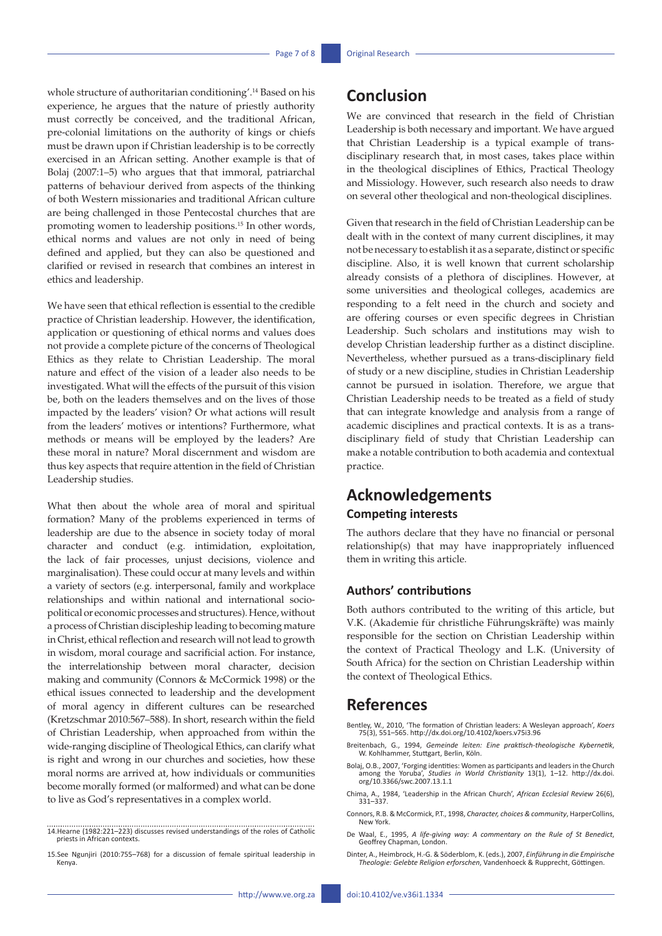whole structure of authoritarian conditioning'.14 Based on his experience, he argues that the nature of priestly authority must correctly be conceived, and the traditional African, pre-colonial limitations on the authority of kings or chiefs must be drawn upon if Christian leadership is to be correctly exercised in an African setting. Another example is that of Bolaj (2007:1–5) who argues that that immoral, patriarchal patterns of behaviour derived from aspects of the thinking of both Western missionaries and traditional African culture are being challenged in those Pentecostal churches that are promoting women to leadership positions.15 In other words, ethical norms and values are not only in need of being defined and applied, but they can also be questioned and clarified or revised in research that combines an interest in ethics and leadership.

We have seen that ethical reflection is essential to the credible practice of Christian leadership. However, the identification, application or questioning of ethical norms and values does not provide a complete picture of the concerns of Theological Ethics as they relate to Christian Leadership. The moral nature and effect of the vision of a leader also needs to be investigated. What will the effects of the pursuit of this vision be, both on the leaders themselves and on the lives of those impacted by the leaders' vision? Or what actions will result from the leaders' motives or intentions? Furthermore, what methods or means will be employed by the leaders? Are these moral in nature? Moral discernment and wisdom are thus key aspects that require attention in the field of Christian Leadership studies.

What then about the whole area of moral and spiritual formation? Many of the problems experienced in terms of leadership are due to the absence in society today of moral character and conduct (e.g. intimidation, exploitation, the lack of fair processes, unjust decisions, violence and marginalisation). These could occur at many levels and within a variety of sectors (e.g. interpersonal, family and workplace relationships and within national and international sociopolitical or economic processes and structures). Hence, without a process of Christian discipleship leading to becoming mature in Christ, ethical reflection and research will not lead to growth in wisdom, moral courage and sacrificial action. For instance, the interrelationship between moral character, decision making and community (Connors & McCormick 1998) or the ethical issues connected to leadership and the development of moral agency in different cultures can be researched (Kretzschmar 2010:567–588). In short, research within the field of Christian Leadership, when approached from within the wide-ranging discipline of Theological Ethics, can clarify what is right and wrong in our churches and societies, how these moral norms are arrived at, how individuals or communities become morally formed (or malformed) and what can be done to live as God's representatives in a complex world.

### **Conclusion**

We are convinced that research in the field of Christian Leadership is both necessary and important. We have argued that Christian Leadership is a typical example of transdisciplinary research that, in most cases, takes place within in the theological disciplines of Ethics, Practical Theology and Missiology. However, such research also needs to draw on several other theological and non-theological disciplines.

Given that research in the field of Christian Leadership can be dealt with in the context of many current disciplines, it may not be necessary to establish it as a separate, distinct or specific discipline. Also, it is well known that current scholarship already consists of a plethora of disciplines. However, at some universities and theological colleges, academics are responding to a felt need in the church and society and are offering courses or even specific degrees in Christian Leadership. Such scholars and institutions may wish to develop Christian leadership further as a distinct discipline. Nevertheless, whether pursued as a trans-disciplinary field of study or a new discipline, studies in Christian Leadership cannot be pursued in isolation. Therefore, we argue that Christian Leadership needs to be treated as a field of study that can integrate knowledge and analysis from a range of academic disciplines and practical contexts. It is as a transdisciplinary field of study that Christian Leadership can make a notable contribution to both academia and contextual practice.

### **Acknowledgements**

### **Competing interests**

The authors declare that they have no financial or personal relationship(s) that may have inappropriately influenced them in writing this article.

### **Authors' contributions**

Both authors contributed to the writing of this article, but V.K. (Akademie für christliche Führungskräfte) was mainly responsible for the section on Christian Leadership within the context of Practical Theology and L.K. (University of South Africa) for the section on Christian Leadership within the context of Theological Ethics.

### **References**

- Bentley, W., 2010, 'The formation of Christian leaders: A Wesleyan approach', *Koers* 75(3), 551–565.<http://dx.doi.org/10.4102/koers.v75i3.96>
- Breitenbach, G., 1994, *Gemeinde leiten: Eine praktisch-theologische Kybernetik*, W. Kohlhammer, Stuttgart, Berlin, Köln.
- Bolaj, O.B., 2007, 'Forging identities: Women as participants and leaders in the Church among the Yoruba', *Studies in World Christianity* 13(1), 1–12. [http://dx.doi.](http://dx.doi.org/10.3366/swc.2007.13.1.1)<br> [org/10.3366/swc.2007.13.1.1](http://dx.doi.org/10.3366/swc.2007.13.1.1)
- Chima, A., 1984, 'Leadership in the African Church', *African Ecclesial Review* 26(6), 331–337.
- Connors, R.B. & McCormick, P.T., 1998, *Character, choices & community*, HarperCollins, New York.
- De Waal, E., 1995, *A life-giving way: A commentary on the Rule of St Benedict*, Geoffrey Chapman, London.
- Dinter, A., Heimbrock, H.-G. & Söderblom, K. (eds.), 2007, *Einführung in die Empirische Theologie: Gelebte Religion erforschen*, Vandenhoeck & Rupprecht, Göttingen.

<sup>14.</sup>Hearne (1982:221–223) discusses revised understandings of the roles of Catholic priests in African contexts.

<sup>15.</sup>See Ngunjiri (2010:755–768) for a discussion of female spiritual leadership in Kenya.